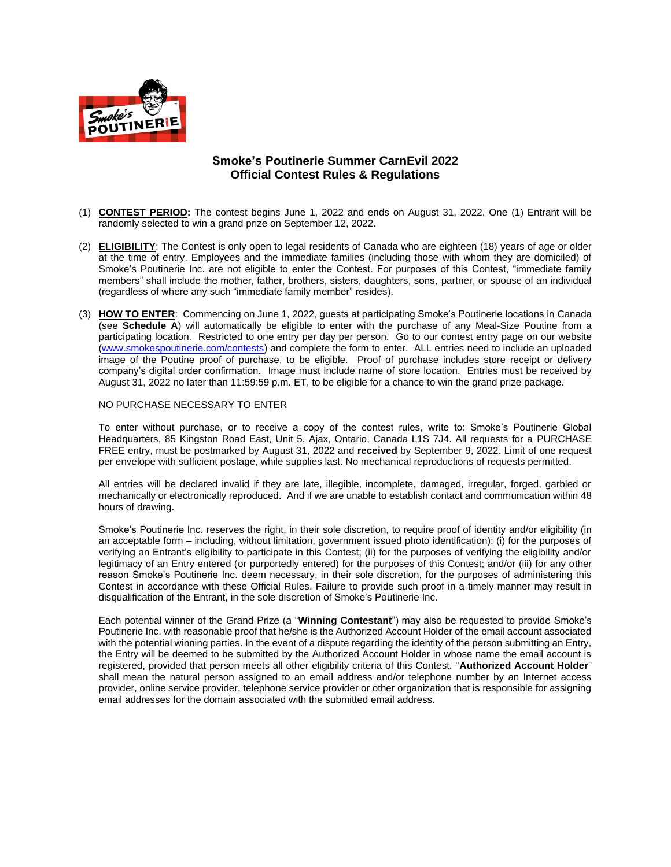

## **Smoke's Poutinerie Summer CarnEvil 2022 Official Contest Rules & Regulations**

- (1) **CONTEST PERIOD:** The contest begins June 1, 2022 and ends on August 31, 2022. One (1) Entrant will be randomly selected to win a grand prize on September 12, 2022.
- (2) **ELIGIBILITY**: The Contest is only open to legal residents of Canada who are eighteen (18) years of age or older at the time of entry. Employees and the immediate families (including those with whom they are domiciled) of Smoke's Poutinerie Inc. are not eligible to enter the Contest. For purposes of this Contest, "immediate family members" shall include the mother, father, brothers, sisters, daughters, sons, partner, or spouse of an individual (regardless of where any such "immediate family member" resides).
- (3) **HOW TO ENTER**: Commencing on June 1, 2022, guests at participating Smoke's Poutinerie locations in Canada (see **Schedule A**) will automatically be eligible to enter with the purchase of any Meal-Size Poutine from a participating location. Restricted to one entry per day per person. Go to our contest entry page on our website [\(www.smokespoutinerie.com/contests\)](http://www.smokespoutinerie.com/contests) and complete the form to enter. ALL entries need to include an uploaded image of the Poutine proof of purchase, to be eligible. Proof of purchase includes store receipt or delivery company's digital order confirmation. Image must include name of store location. Entries must be received by August 31, 2022 no later than 11:59:59 p.m. ET, to be eligible for a chance to win the grand prize package.

#### NO PURCHASE NECESSARY TO ENTER

To enter without purchase, or to receive a copy of the contest rules, write to: Smoke's Poutinerie Global Headquarters, 85 Kingston Road East, Unit 5, Ajax, Ontario, Canada L1S 7J4. All requests for a PURCHASE FREE entry, must be postmarked by August 31, 2022 and **received** by September 9, 2022. Limit of one request per envelope with sufficient postage, while supplies last. No mechanical reproductions of requests permitted.

All entries will be declared invalid if they are late, illegible, incomplete, damaged, irregular, forged, garbled or mechanically or electronically reproduced. And if we are unable to establish contact and communication within 48 hours of drawing.

Smoke's Poutinerie Inc. reserves the right, in their sole discretion, to require proof of identity and/or eligibility (in an acceptable form – including, without limitation, government issued photo identification): (i) for the purposes of verifying an Entrant's eligibility to participate in this Contest; (ii) for the purposes of verifying the eligibility and/or legitimacy of an Entry entered (or purportedly entered) for the purposes of this Contest; and/or (iii) for any other reason Smoke's Poutinerie Inc. deem necessary, in their sole discretion, for the purposes of administering this Contest in accordance with these Official Rules. Failure to provide such proof in a timely manner may result in disqualification of the Entrant, in the sole discretion of Smoke's Poutinerie Inc.

Each potential winner of the Grand Prize (a "**Winning Contestant**") may also be requested to provide Smoke's Poutinerie Inc. with reasonable proof that he/she is the Authorized Account Holder of the email account associated with the potential winning parties. In the event of a dispute regarding the identity of the person submitting an Entry, the Entry will be deemed to be submitted by the Authorized Account Holder in whose name the email account is registered, provided that person meets all other eligibility criteria of this Contest. "**Authorized Account Holder**" shall mean the natural person assigned to an email address and/or telephone number by an Internet access provider, online service provider, telephone service provider or other organization that is responsible for assigning email addresses for the domain associated with the submitted email address.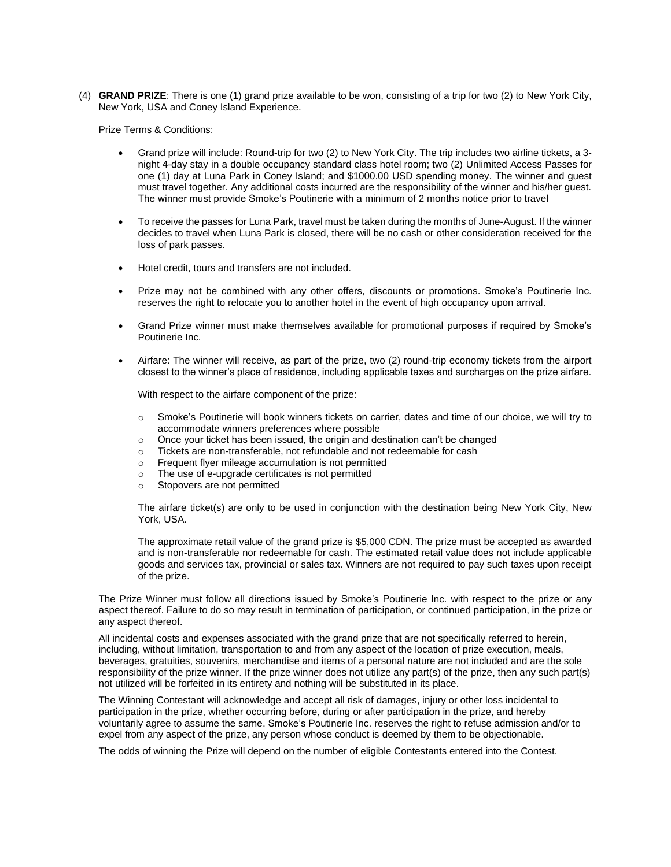(4) **GRAND PRIZE**: There is one (1) grand prize available to be won, consisting of a trip for two (2) to New York City, New York, USA and Coney Island Experience.

Prize Terms & Conditions:

- Grand prize will include: Round-trip for two (2) to New York City. The trip includes two airline tickets, a 3 night 4-day stay in a double occupancy standard class hotel room; two (2) Unlimited Access Passes for one (1) day at Luna Park in Coney Island; and \$1000.00 USD spending money. The winner and guest must travel together. Any additional costs incurred are the responsibility of the winner and his/her guest. The winner must provide Smoke's Poutinerie with a minimum of 2 months notice prior to travel
- To receive the passes for Luna Park, travel must be taken during the months of June-August. If the winner decides to travel when Luna Park is closed, there will be no cash or other consideration received for the loss of park passes.
- Hotel credit, tours and transfers are not included.
- Prize may not be combined with any other offers, discounts or promotions. Smoke's Poutinerie Inc. reserves the right to relocate you to another hotel in the event of high occupancy upon arrival.
- Grand Prize winner must make themselves available for promotional purposes if required by Smoke's Poutinerie Inc.
- Airfare: The winner will receive, as part of the prize, two (2) round-trip economy tickets from the airport closest to the winner's place of residence, including applicable taxes and surcharges on the prize airfare.

With respect to the airfare component of the prize:

- o Smoke's Poutinerie will book winners tickets on carrier, dates and time of our choice, we will try to accommodate winners preferences where possible
- o Once your ticket has been issued, the origin and destination can't be changed
- o Tickets are non-transferable, not refundable and not redeemable for cash
- o Frequent flyer mileage accumulation is not permitted
- o The use of e-upgrade certificates is not permitted
- o Stopovers are not permitted

The airfare ticket(s) are only to be used in conjunction with the destination being New York City, New York, USA.

The approximate retail value of the grand prize is \$5,000 CDN. The prize must be accepted as awarded and is non-transferable nor redeemable for cash. The estimated retail value does not include applicable goods and services tax, provincial or sales tax. Winners are not required to pay such taxes upon receipt of the prize.

The Prize Winner must follow all directions issued by Smoke's Poutinerie Inc. with respect to the prize or any aspect thereof. Failure to do so may result in termination of participation, or continued participation, in the prize or any aspect thereof.

All incidental costs and expenses associated with the grand prize that are not specifically referred to herein, including, without limitation, transportation to and from any aspect of the location of prize execution, meals, beverages, gratuities, souvenirs, merchandise and items of a personal nature are not included and are the sole responsibility of the prize winner. If the prize winner does not utilize any part(s) of the prize, then any such part(s) not utilized will be forfeited in its entirety and nothing will be substituted in its place.

The Winning Contestant will acknowledge and accept all risk of damages, injury or other loss incidental to participation in the prize, whether occurring before, during or after participation in the prize, and hereby voluntarily agree to assume the same. Smoke's Poutinerie Inc. reserves the right to refuse admission and/or to expel from any aspect of the prize, any person whose conduct is deemed by them to be objectionable.

The odds of winning the Prize will depend on the number of eligible Contestants entered into the Contest.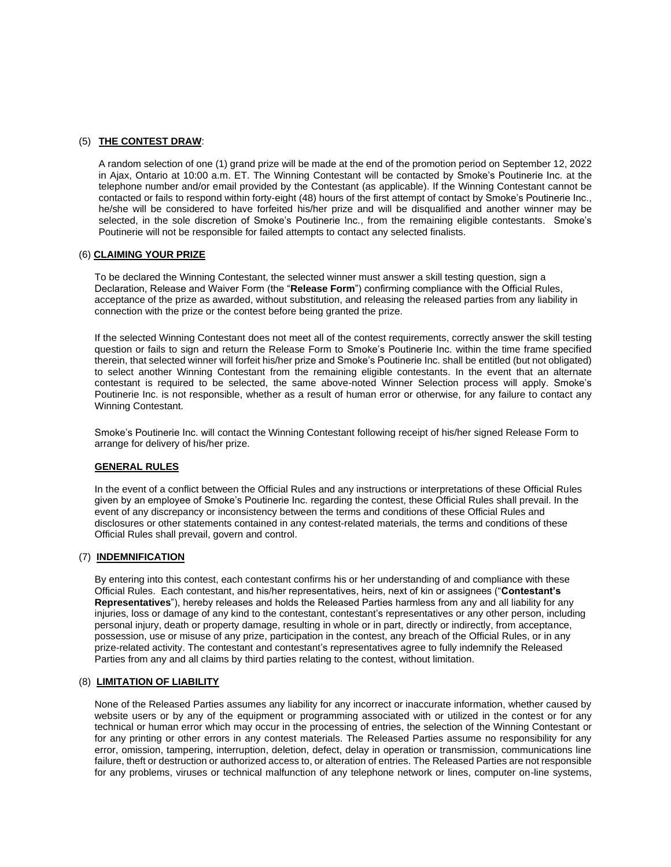#### (5) **THE CONTEST DRAW**:

A random selection of one (1) grand prize will be made at the end of the promotion period on September 12, 2022 in Ajax, Ontario at 10:00 a.m. ET. The Winning Contestant will be contacted by Smoke's Poutinerie Inc. at the telephone number and/or email provided by the Contestant (as applicable). If the Winning Contestant cannot be contacted or fails to respond within forty-eight (48) hours of the first attempt of contact by Smoke's Poutinerie Inc., he/she will be considered to have forfeited his/her prize and will be disqualified and another winner may be selected, in the sole discretion of Smoke's Poutinerie Inc., from the remaining eligible contestants. Smoke's Poutinerie will not be responsible for failed attempts to contact any selected finalists.

#### (6) **CLAIMING YOUR PRIZE**

To be declared the Winning Contestant, the selected winner must answer a skill testing question, sign a Declaration, Release and Waiver Form (the "**Release Form**") confirming compliance with the Official Rules, acceptance of the prize as awarded, without substitution, and releasing the released parties from any liability in connection with the prize or the contest before being granted the prize.

If the selected Winning Contestant does not meet all of the contest requirements, correctly answer the skill testing question or fails to sign and return the Release Form to Smoke's Poutinerie Inc. within the time frame specified therein, that selected winner will forfeit his/her prize and Smoke's Poutinerie Inc. shall be entitled (but not obligated) to select another Winning Contestant from the remaining eligible contestants. In the event that an alternate contestant is required to be selected, the same above-noted Winner Selection process will apply. Smoke's Poutinerie Inc. is not responsible, whether as a result of human error or otherwise, for any failure to contact any Winning Contestant.

Smoke's Poutinerie Inc. will contact the Winning Contestant following receipt of his/her signed Release Form to arrange for delivery of his/her prize.

#### **GENERAL RULES**

In the event of a conflict between the Official Rules and any instructions or interpretations of these Official Rules given by an employee of Smoke's Poutinerie Inc. regarding the contest, these Official Rules shall prevail. In the event of any discrepancy or inconsistency between the terms and conditions of these Official Rules and disclosures or other statements contained in any contest-related materials, the terms and conditions of these Official Rules shall prevail, govern and control.

#### (7) **INDEMNIFICATION**

By entering into this contest, each contestant confirms his or her understanding of and compliance with these Official Rules. Each contestant, and his/her representatives, heirs, next of kin or assignees ("**Contestant's Representatives**"), hereby releases and holds the Released Parties harmless from any and all liability for any injuries, loss or damage of any kind to the contestant, contestant's representatives or any other person, including personal injury, death or property damage, resulting in whole or in part, directly or indirectly, from acceptance, possession, use or misuse of any prize, participation in the contest, any breach of the Official Rules, or in any prize-related activity. The contestant and contestant's representatives agree to fully indemnify the Released Parties from any and all claims by third parties relating to the contest, without limitation.

#### (8) **LIMITATION OF LIABILITY**

None of the Released Parties assumes any liability for any incorrect or inaccurate information, whether caused by website users or by any of the equipment or programming associated with or utilized in the contest or for any technical or human error which may occur in the processing of entries, the selection of the Winning Contestant or for any printing or other errors in any contest materials. The Released Parties assume no responsibility for any error, omission, tampering, interruption, deletion, defect, delay in operation or transmission, communications line failure, theft or destruction or authorized access to, or alteration of entries. The Released Parties are not responsible for any problems, viruses or technical malfunction of any telephone network or lines, computer on-line systems,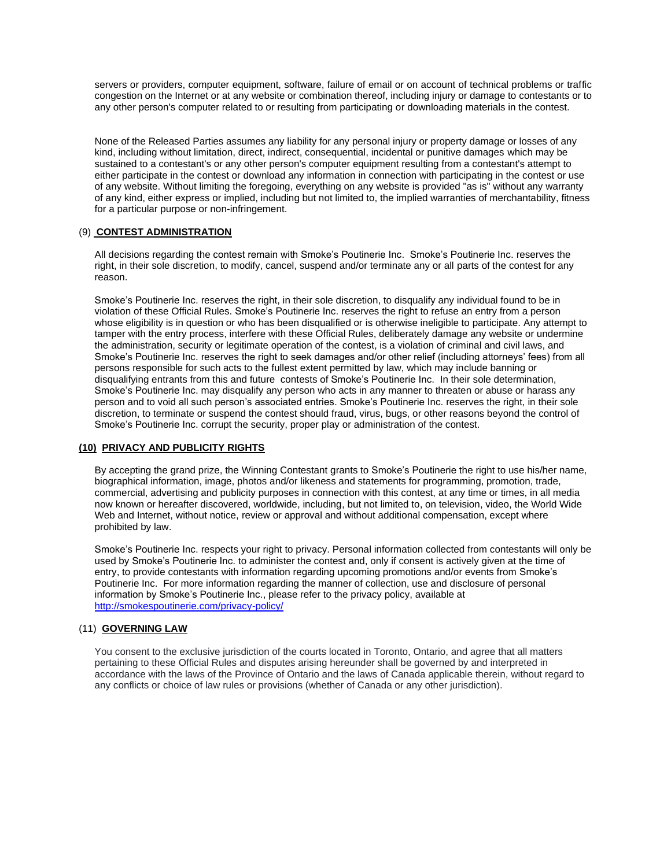servers or providers, computer equipment, software, failure of email or on account of technical problems or traffic congestion on the Internet or at any website or combination thereof, including injury or damage to contestants or to any other person's computer related to or resulting from participating or downloading materials in the contest.

None of the Released Parties assumes any liability for any personal injury or property damage or losses of any kind, including without limitation, direct, indirect, consequential, incidental or punitive damages which may be sustained to a contestant's or any other person's computer equipment resulting from a contestant's attempt to either participate in the contest or download any information in connection with participating in the contest or use of any website. Without limiting the foregoing, everything on any website is provided "as is" without any warranty of any kind, either express or implied, including but not limited to, the implied warranties of merchantability, fitness for a particular purpose or non-infringement.

#### (9) **CONTEST ADMINISTRATION**

All decisions regarding the contest remain with Smoke's Poutinerie Inc. Smoke's Poutinerie Inc. reserves the right, in their sole discretion, to modify, cancel, suspend and/or terminate any or all parts of the contest for any reason.

Smoke's Poutinerie Inc. reserves the right, in their sole discretion, to disqualify any individual found to be in violation of these Official Rules. Smoke's Poutinerie Inc. reserves the right to refuse an entry from a person whose eligibility is in question or who has been disqualified or is otherwise ineligible to participate. Any attempt to tamper with the entry process, interfere with these Official Rules, deliberately damage any website or undermine the administration, security or legitimate operation of the contest, is a violation of criminal and civil laws, and Smoke's Poutinerie Inc. reserves the right to seek damages and/or other relief (including attorneys' fees) from all persons responsible for such acts to the fullest extent permitted by law, which may include banning or disqualifying entrants from this and future contests of Smoke's Poutinerie Inc. In their sole determination, Smoke's Poutinerie Inc. may disqualify any person who acts in any manner to threaten or abuse or harass any person and to void all such person's associated entries. Smoke's Poutinerie Inc. reserves the right, in their sole discretion, to terminate or suspend the contest should fraud, virus, bugs, or other reasons beyond the control of Smoke's Poutinerie Inc. corrupt the security, proper play or administration of the contest.

## **(10) PRIVACY AND PUBLICITY RIGHTS**

By accepting the grand prize, the Winning Contestant grants to Smoke's Poutinerie the right to use his/her name, biographical information, image, photos and/or likeness and statements for programming, promotion, trade, commercial, advertising and publicity purposes in connection with this contest, at any time or times, in all media now known or hereafter discovered, worldwide, including, but not limited to, on television, video, the World Wide Web and Internet, without notice, review or approval and without additional compensation, except where prohibited by law.

Smoke's Poutinerie Inc. respects your right to privacy. Personal information collected from contestants will only be used by Smoke's Poutinerie Inc. to administer the contest and, only if consent is actively given at the time of entry, to provide contestants with information regarding upcoming promotions and/or events from Smoke's Poutinerie Inc. For more information regarding the manner of collection, use and disclosure of personal information by Smoke's Poutinerie Inc., please refer to the privacy policy, available at <http://smokespoutinerie.com/privacy-policy/>

### (11) **GOVERNING LAW**

You consent to the exclusive jurisdiction of the courts located in Toronto, Ontario, and agree that all matters pertaining to these Official Rules and disputes arising hereunder shall be governed by and interpreted in accordance with the laws of the Province of Ontario and the laws of Canada applicable therein, without regard to any conflicts or choice of law rules or provisions (whether of Canada or any other jurisdiction).